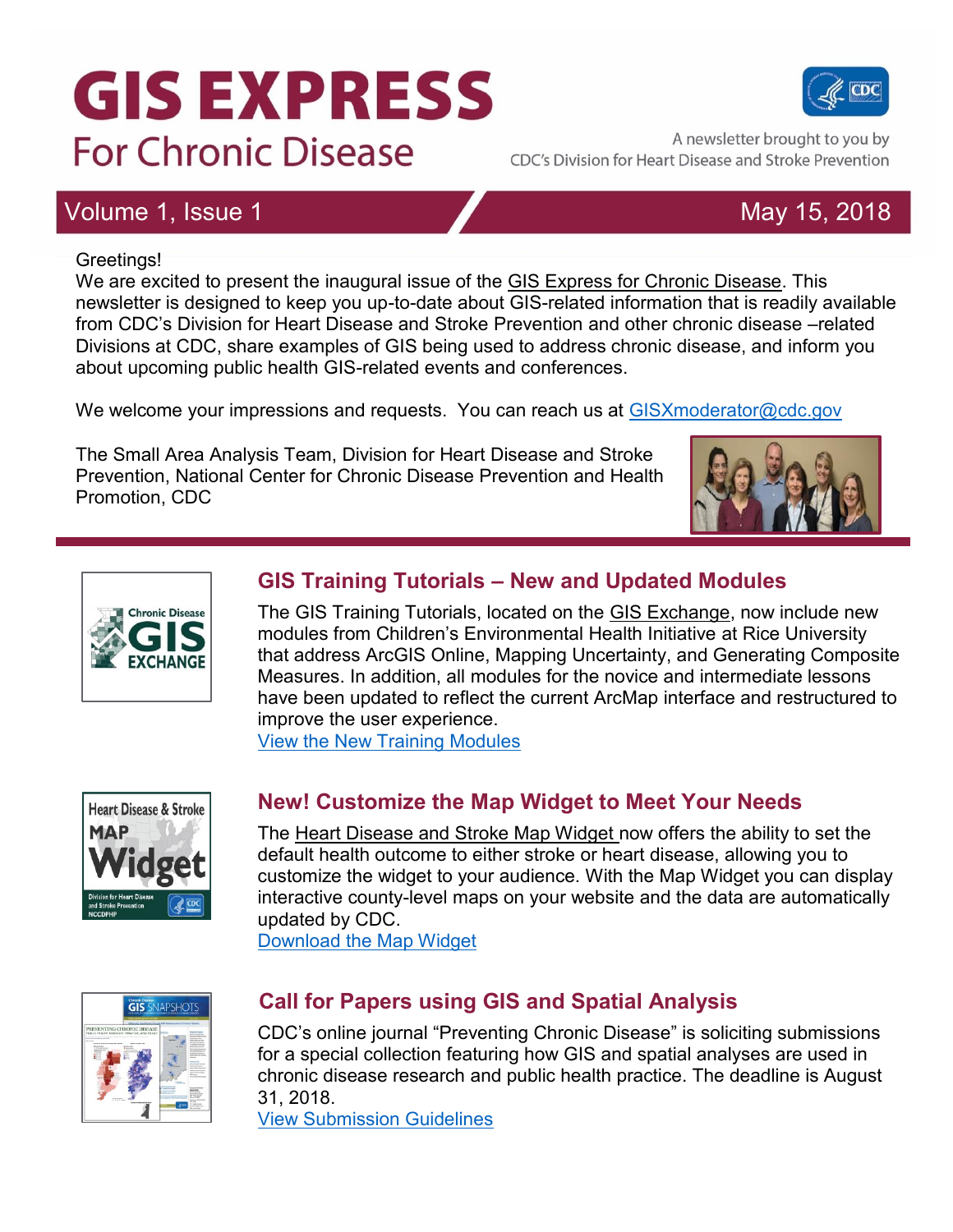# **GIS EXPRESS For Chronic Disease**

# Volume 1, Issue 1 May 15, 2018

#### Greetings!

We are excited to present the inaugural issue of the GIS Express for Chronic Disease. This newsletter is designed to keep you up-to-date about GIS-related information that is readily available from CDC's Division for Heart Disease and Stroke Prevention and other chronic disease –related Divisions at CDC, share examples of GIS being used to address chronic disease, and inform you about upcoming public health GIS-related events and conferences.

We welcome your impressions and requests. You can reach us at [GISXmoderator@cdc.gov](mailto:GISXmoderator@cdc.gov)

The Small Area Analysis Team, Division for Heart Disease and Stroke Prevention, National Center for Chronic Disease Prevention and Health Promotion, CDC

### **GIS Training Tutorials – New and Updated Modules**

The GIS Training Tutorials, located on the GIS Exchange, now include new modules from Children's Environmental Health Initiative at Rice University that address ArcGIS Online, Mapping Uncertainty, and Generating Composite Measures. In addition, all modules for the novice and intermediate lessons have been updated to reflect the current ArcMap interface and restructured to improve the user experience.

[View the New Training Modules](https://www.cdc.gov/dhdsp/maps/gisx/training/index.html)



**Chronic Disease** 

### **New! Customize the Map Widget to Meet Your Needs**

The Heart Disease and Stroke Map Widget now offers the ability to set the default health outcome to either stroke or heart disease, allowing you to customize the widget to your audience. With the Map Widget you can display interactive county-level maps on your website and the data are automatically updated by CDC.

[Download the Map Widget](https://www.cdc.gov/dhdsp/maps/hds-widget.htm)



### **Call for Papers using GIS and Spatial Analysis**

CDC's online journal "Preventing Chronic Disease" is soliciting submissions for a special collection featuring how GIS and spatial analyses are used in chronic disease research and public health practice. The deadline is August 31, 2018.

[View Submission Guidelines](https://www.cdc.gov/pcd/announcements.htm)







A newsletter brought to you by

CDC's Division for Heart Disease and Stroke Prevention